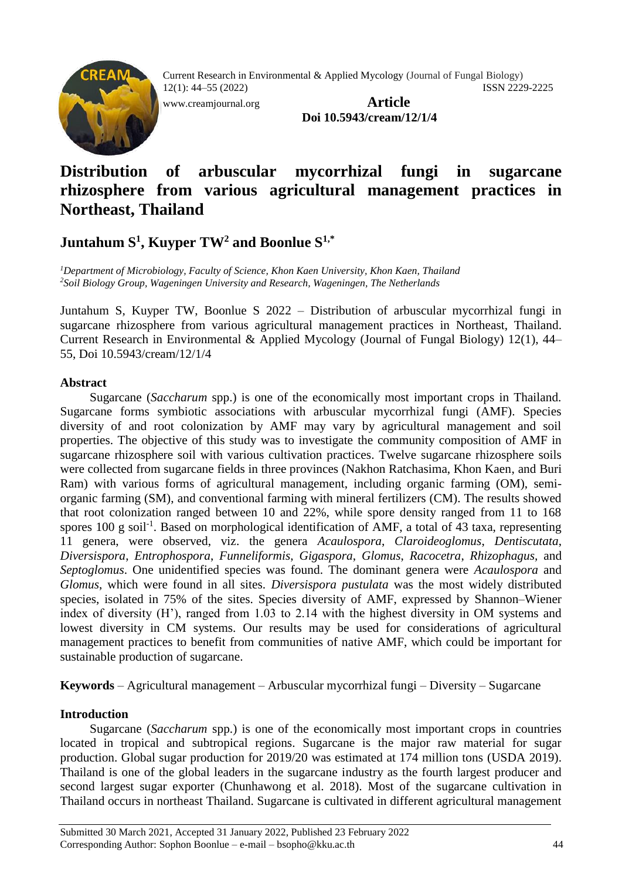

[www.creamjournal.org](http://www.creamjournal.org/) **Article**

**Doi 10.5943/cream/12/1/4**

# **Distribution of arbuscular mycorrhizal fungi in sugarcane rhizosphere from various agricultural management practices in Northeast, Thailand**

# **Juntahum S<sup>1</sup> , Kuyper TW<sup>2</sup> and Boonlue S1,\***

*<sup>1</sup>Department of Microbiology, Faculty of Science, Khon Kaen University, Khon Kaen, Thailand <sup>2</sup>Soil Biology Group, Wageningen University and Research, Wageningen, The Netherlands*

Juntahum S, Kuyper TW, Boonlue S 2022 – Distribution of arbuscular mycorrhizal fungi in sugarcane rhizosphere from various agricultural management practices in Northeast, Thailand. Current Research in Environmental & Applied Mycology (Journal of Fungal Biology) 12(1), 44– 55, Doi 10.5943/cream/12/1/4

# **Abstract**

Sugarcane (*Saccharum* spp.) is one of the economically most important crops in Thailand. Sugarcane forms symbiotic associations with arbuscular mycorrhizal fungi (AMF). Species diversity of and root colonization by AMF may vary by agricultural management and soil properties. The objective of this study was to investigate the community composition of AMF in sugarcane rhizosphere soil with various cultivation practices. Twelve sugarcane rhizosphere soils were collected from sugarcane fields in three provinces (Nakhon Ratchasima, Khon Kaen, and Buri Ram) with various forms of agricultural management, including organic farming (OM), semiorganic farming (SM), and conventional farming with mineral fertilizers (CM). The results showed that root colonization ranged between 10 and 22%, while spore density ranged from 11 to 168 spores 100 g soil<sup>-1</sup>. Based on morphological identification of AMF, a total of 43 taxa, representing 11 genera, were observed, viz. the genera *Acaulospora*, *Claroideoglomus*, *Dentiscutata*, *Diversispora*, *Entrophospora*, *Funneliformis*, *Gigaspora*, *Glomus*, *Racocetra*, *Rhizophagus,* and *Septoglomus*. One unidentified species was found. The dominant genera were *Acaulospora* and *Glomus*, which were found in all sites. *Diversispora pustulata* was the most widely distributed species, isolated in 75% of the sites. Species diversity of AMF, expressed by Shannon–Wiener index of diversity (H'), ranged from 1.03 to 2.14 with the highest diversity in OM systems and lowest diversity in CM systems. Our results may be used for considerations of agricultural management practices to benefit from communities of native AMF, which could be important for sustainable production of sugarcane.

**Keywords** – Agricultural management – Arbuscular mycorrhizal fungi – Diversity – Sugarcane

# **Introduction**

Sugarcane (*Saccharum* spp.) is one of the economically most important crops in countries located in tropical and subtropical regions. Sugarcane is the major raw material for sugar production. Global sugar production for 2019/20 was estimated at 174 million tons (USDA 2019). Thailand is one of the global leaders in the sugarcane industry as the fourth largest producer and second largest sugar exporter (Chunhawong et al. 2018). Most of the sugarcane cultivation in Thailand occurs in northeast Thailand. Sugarcane is cultivated in different agricultural management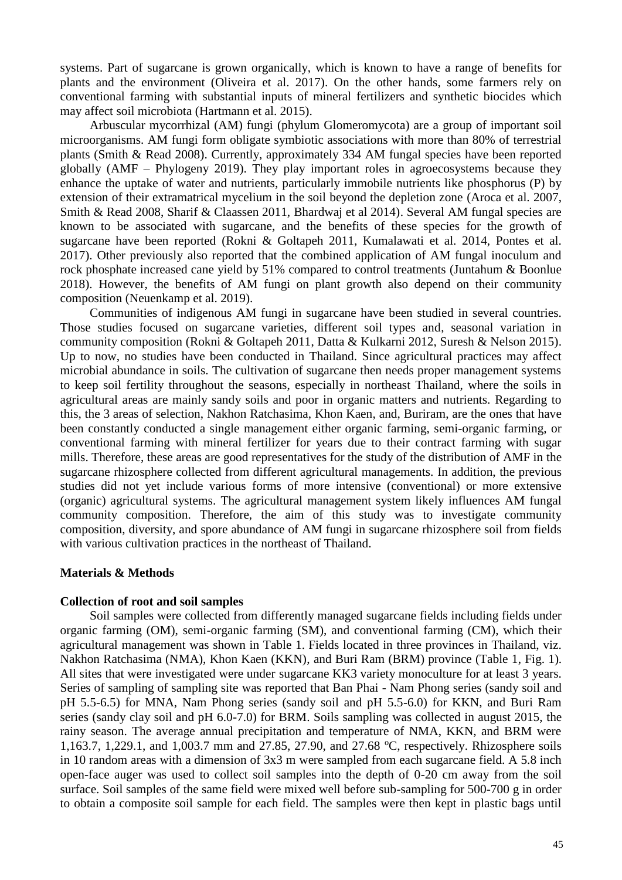systems. Part of sugarcane is grown organically, which is known to have a range of benefits for plants and the environment (Oliveira et al. 2017). On the other hands, some farmers rely on conventional farming with substantial inputs of mineral fertilizers and synthetic biocides which may affect soil microbiota (Hartmann et al. 2015).

Arbuscular mycorrhizal (AM) fungi (phylum Glomeromycota) are a group of important soil microorganisms. AM fungi form obligate symbiotic associations with more than 80% of terrestrial plants (Smith & Read 2008). Currently, approximately 334 AM fungal species have been reported globally (AMF – Phylogeny 2019). They play important roles in agroecosystems because they enhance the uptake of water and nutrients, particularly immobile nutrients like phosphorus (P) by extension of their extramatrical mycelium in the soil beyond the depletion zone (Aroca et al. 2007, Smith & Read 2008, Sharif & Claassen 2011, Bhardwaj et al 2014). Several AM fungal species are known to be associated with sugarcane, and the benefits of these species for the growth of sugarcane have been reported (Rokni & Goltapeh 2011, Kumalawati et al. 2014, Pontes et al. 2017). Other previously also reported that the combined application of AM fungal inoculum and rock phosphate increased cane yield by 51% compared to control treatments (Juntahum & Boonlue 2018). However, the benefits of AM fungi on plant growth also depend on their community composition (Neuenkamp et al. 2019).

Communities of indigenous AM fungi in sugarcane have been studied in several countries. Those studies focused on sugarcane varieties, different soil types and, seasonal variation in community composition (Rokni & Goltapeh 2011, Datta & Kulkarni 2012, Suresh & Nelson 2015). Up to now, no studies have been conducted in Thailand. Since agricultural practices may affect microbial abundance in soils. The cultivation of sugarcane then needs proper management systems to keep soil fertility throughout the seasons, especially in northeast Thailand, where the soils in agricultural areas are mainly sandy soils and poor in organic matters and nutrients. Regarding to this, the 3 areas of selection, Nakhon Ratchasima, Khon Kaen, and, Buriram, are the ones that have been constantly conducted a single management either organic farming, semi-organic farming, or conventional farming with mineral fertilizer for years due to their contract farming with sugar mills. Therefore, these areas are good representatives for the study of the distribution of AMF in the sugarcane rhizosphere collected from different agricultural managements. In addition, the previous studies did not yet include various forms of more intensive (conventional) or more extensive (organic) agricultural systems. The agricultural management system likely influences AM fungal community composition. Therefore, the aim of this study was to investigate community composition, diversity, and spore abundance of AM fungi in sugarcane rhizosphere soil from fields with various cultivation practices in the northeast of Thailand.

## **Materials & Methods**

#### **Collection of root and soil samples**

Soil samples were collected from differently managed sugarcane fields including fields under organic farming (OM), semi-organic farming (SM), and conventional farming (CM), which their agricultural management was shown in Table 1. Fields located in three provinces in Thailand, viz. Nakhon Ratchasima (NMA), Khon Kaen (KKN), and Buri Ram (BRM) province (Table 1, Fig. 1). All sites that were investigated were under sugarcane KK3 variety monoculture for at least 3 years. Series of sampling of sampling site was reported that Ban Phai - Nam Phong series (sandy soil and pH 5.5-6.5) for MNA, Nam Phong series (sandy soil and pH 5.5-6.0) for KKN, and Buri Ram series (sandy clay soil and pH 6.0-7.0) for BRM. Soils sampling was collected in august 2015, the rainy season. The average annual precipitation and temperature of NMA, KKN, and BRM were 1,163.7, 1,229.1, and 1,003.7 mm and 27.85, 27.90, and 27.68 °C, respectively. Rhizosphere soils in 10 random areas with a dimension of 3x3 m were sampled from each sugarcane field. A 5.8 inch open-face auger was used to collect soil samples into the depth of 0-20 cm away from the soil surface. Soil samples of the same field were mixed well before sub-sampling for 500-700 g in order to obtain a composite soil sample for each field. The samples were then kept in plastic bags until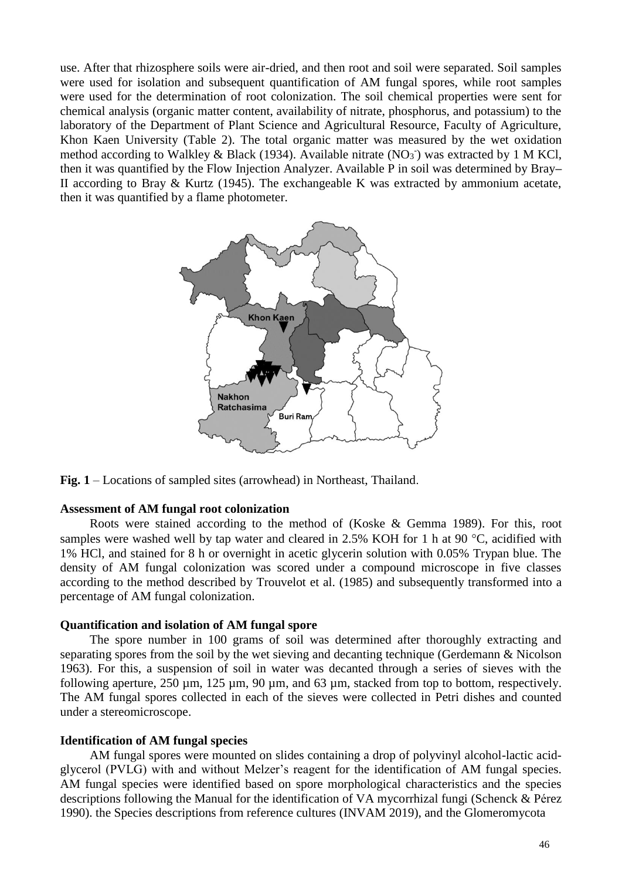use. After that rhizosphere soils were air-dried, and then root and soil were separated. Soil samples were used for isolation and subsequent quantification of AM fungal spores, while root samples were used for the determination of root colonization. The soil chemical properties were sent for chemical analysis (organic matter content, availability of nitrate, phosphorus, and potassium) to the laboratory of the Department of Plant Science and Agricultural Resource, Faculty of Agriculture, Khon Kaen University (Table 2). The total organic matter was measured by the wet oxidation method according to Walkley & Black (1934). Available nitrate (NO<sub>3</sub><sup>-</sup>) was extracted by 1 M KCl, then it was quantified by the Flow Injection Analyzer. Available P in soil was determined by Bray**–** II according to Bray & Kurtz (1945). The exchangeable K was extracted by ammonium acetate, then it was quantified by a flame photometer.



**Fig. 1** – Locations of sampled sites (arrowhead) in Northeast, Thailand.

## **Assessment of AM fungal root colonization**

Roots were stained according to the method of (Koske & Gemma 1989). For this, root samples were washed well by tap water and cleared in 2.5% KOH for 1 h at 90  $^{\circ}$ C, acidified with 1% HCl, and stained for 8 h or overnight in acetic glycerin solution with 0.05% Trypan blue. The density of AM fungal colonization was scored under a compound microscope in five classes according to the method described by Trouvelot et al. (1985) and subsequently transformed into a percentage of AM fungal colonization.

## **Quantification and isolation of AM fungal spore**

The spore number in 100 grams of soil was determined after thoroughly extracting and separating spores from the soil by the wet sieving and decanting technique (Gerdemann & Nicolson 1963). For this, a suspension of soil in water was decanted through a series of sieves with the following aperture, 250 µm, 125 µm, 90 µm, and 63 µm, stacked from top to bottom, respectively. The AM fungal spores collected in each of the sieves were collected in Petri dishes and counted under a stereomicroscope.

#### **Identification of AM fungal species**

AM fungal spores were mounted on slides containing a drop of polyvinyl alcohol-lactic acidglycerol (PVLG) with and without Melzer's reagent for the identification of AM fungal species. AM fungal species were identified based on spore morphological characteristics and the species descriptions following the Manual for the identification of VA mycorrhizal fungi (Schenck & Pérez 1990). the Species descriptions from reference cultures [\(INVAM](http://www.invam.caf.wvu.edu/) 2019), and the Glomeromycota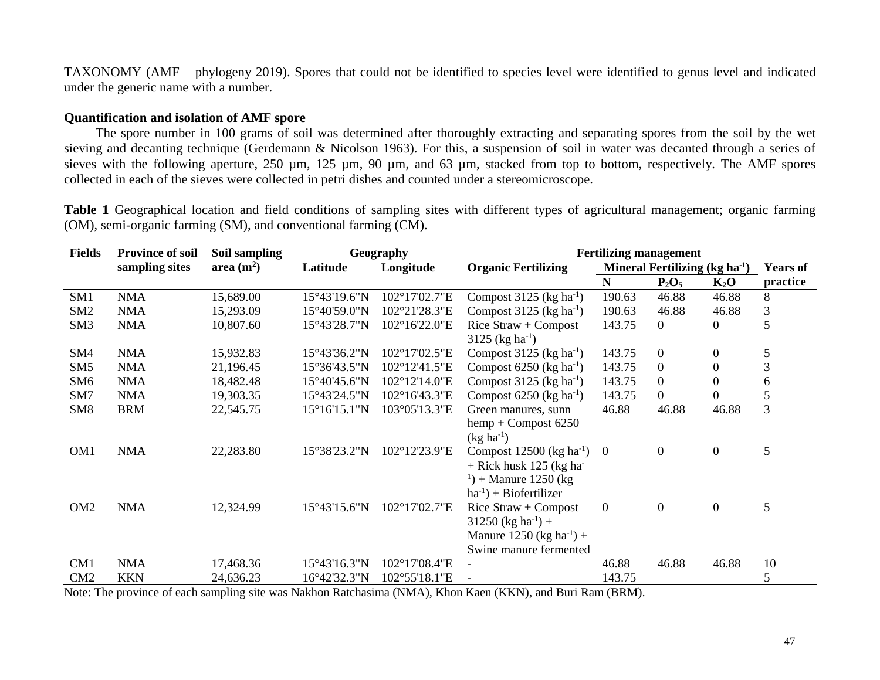TAXONOMY (AMF – phylogeny 2019). Spores that could not be identified to species level were identified to genus level and indicated under the generic name with a number.

# **Quantification and isolation of AMF spore**

The spore number in 100 grams of soil was determined after thoroughly extracting and separating spores from the soil by the wet sieving and decanting technique (Gerdemann & Nicolson 1963). For this, a suspension of soil in water was decanted through a series of sieves with the following aperture, 250 µm, 125 µm, 90 µm, and 63 µm, stacked from top to bottom, respectively. The AMF spores collected in each of the sieves were collected in petri dishes and counted under a stereomicroscope.

**Table 1** Geographical location and field conditions of sampling sites with different types of agricultural management; organic farming (OM), semi-organic farming (SM), and conventional farming (CM).

| <b>Fields</b>   | <b>Province of soil</b> | Soil sampling |              | Geography     |                                        | <b>Fertilizing management</b> |                                 |                  |                 |  |  |  |
|-----------------|-------------------------|---------------|--------------|---------------|----------------------------------------|-------------------------------|---------------------------------|------------------|-----------------|--|--|--|
|                 | sampling sites          | area $(m^2)$  | Latitude     | Longitude     | <b>Organic Fertilizing</b>             |                               | Mineral Fertilizing $(kg ha-1)$ |                  | <b>Years of</b> |  |  |  |
|                 |                         |               |              |               |                                        | N                             | $P_2O_5$                        | $K_2O$           | practice        |  |  |  |
| SM <sub>1</sub> | <b>NMA</b>              | 15,689.00     | 15°43'19.6"N | 102°17'02.7"E | Compost $3125$ (kg ha <sup>-1</sup> )  | 190.63                        | 46.88                           | 46.88            | 8               |  |  |  |
| SM <sub>2</sub> | <b>NMA</b>              | 15,293.09     | 15°40'59.0"N | 102°21'28.3"E | Compost $3125$ (kg ha <sup>-1</sup> )  | 190.63                        | 46.88                           | 46.88            | $\mathfrak{Z}$  |  |  |  |
| SM <sub>3</sub> | <b>NMA</b>              | 10,807.60     | 15°43'28.7"N | 102°16'22.0"E | Rice $Straw + Compost$                 | 143.75                        | $\overline{0}$                  | 0                | 5               |  |  |  |
|                 |                         |               |              |               | 3125 (kg ha <sup>-1</sup> )            |                               |                                 |                  |                 |  |  |  |
| SM4             | <b>NMA</b>              | 15,932.83     | 15°43'36.2"N | 102°17'02.5"E | Compost $3125$ (kg ha <sup>-1</sup> )  | 143.75                        | $\Omega$                        | $\overline{0}$   | 5               |  |  |  |
| SM <sub>5</sub> | <b>NMA</b>              | 21,196.45     | 15°36'43.5"N | 102°12'41.5"E | Compost $6250$ (kg ha <sup>-1</sup> )  | 143.75                        | $\overline{0}$                  | 0                | 3               |  |  |  |
| SM <sub>6</sub> | <b>NMA</b>              | 18,482.48     | 15°40'45.6"N | 102°12'14.0"E | Compost $3125$ (kg ha <sup>-1</sup> )  | 143.75                        | $\boldsymbol{0}$                | $\Omega$         | 6               |  |  |  |
| SM7             | <b>NMA</b>              | 19,303.35     | 15°43'24.5"N | 102°16'43.3"E | Compost $6250$ (kg ha <sup>-1</sup> )  | 143.75                        | $\boldsymbol{0}$                | $\theta$         | $\mathfrak{S}$  |  |  |  |
| SM <sub>8</sub> | <b>BRM</b>              | 22,545.75     | 15°16'15.1"N | 103°05'13.3"E | Green manures, sunn                    | 46.88                         | 46.88                           | 46.88            | 3               |  |  |  |
|                 |                         |               |              |               | $hemp + Compost 6250$                  |                               |                                 |                  |                 |  |  |  |
|                 |                         |               |              |               | $(kg ha^{-1})$                         |                               |                                 |                  |                 |  |  |  |
| OM <sub>1</sub> | <b>NMA</b>              | 22,283.80     | 15°38'23.2"N | 102°12'23.9"E | Compost $12500$ (kg ha <sup>-1</sup> ) | $\overline{0}$                | $\boldsymbol{0}$                | $\overline{0}$   | 5               |  |  |  |
|                 |                         |               |              |               | $+$ Rick husk 125 (kg ha               |                               |                                 |                  |                 |  |  |  |
|                 |                         |               |              |               | $(1) +$ Manure 1250 (kg)               |                               |                                 |                  |                 |  |  |  |
|                 |                         |               |              |               | $ha^{-1}$ ) + Biofertilizer            |                               |                                 |                  |                 |  |  |  |
| OM <sub>2</sub> | <b>NMA</b>              | 12,324.99     | 15°43'15.6"N | 102°17'02.7"E | Rice $Straw + Compost$                 | $\mathbf{0}$                  | $\overline{0}$                  | $\boldsymbol{0}$ | 5               |  |  |  |
|                 |                         |               |              |               | $31250$ (kg ha <sup>-1</sup> ) +       |                               |                                 |                  |                 |  |  |  |
|                 |                         |               |              |               | Manure 1250 (kg ha <sup>-1</sup> ) +   |                               |                                 |                  |                 |  |  |  |
|                 |                         |               |              |               | Swine manure fermented                 |                               |                                 |                  |                 |  |  |  |
| CM1             | <b>NMA</b>              | 17,468.36     | 15°43'16.3"N | 102°17'08.4"E |                                        | 46.88                         | 46.88                           | 46.88            | 10              |  |  |  |
| CM2             | <b>KKN</b>              | 24,636.23     | 16°42'32.3"N | 102°55'18.1"E |                                        | 143.75                        |                                 |                  | 5               |  |  |  |

Note: The province of each sampling site was Nakhon Ratchasima (NMA), Khon Kaen (KKN), and Buri Ram (BRM).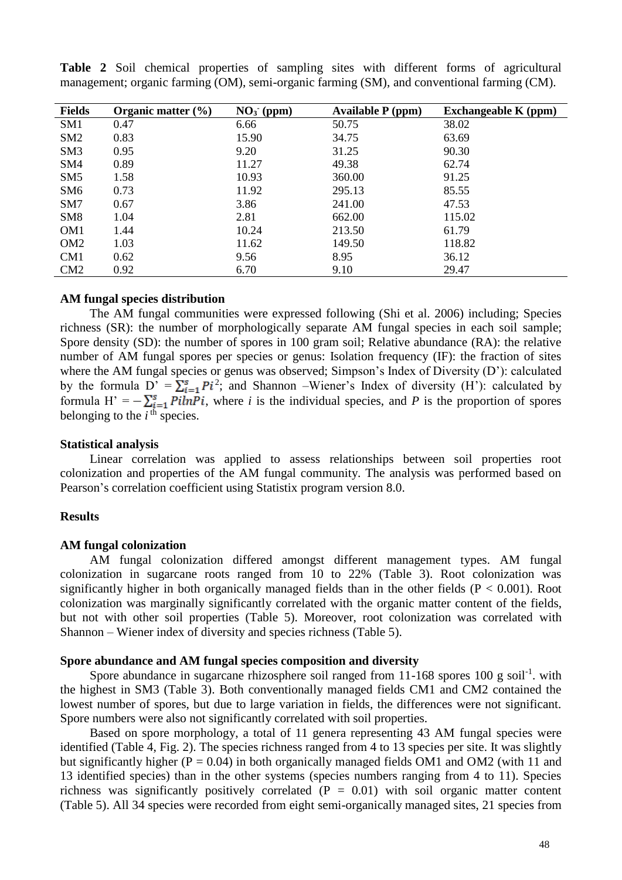| <b>Fields</b>   | Organic matter $(\% )$ | $NO3$ (ppm) | <b>Available P</b> (ppm) | <b>Exchangeable K</b> (ppm) |
|-----------------|------------------------|-------------|--------------------------|-----------------------------|
| SM1             | 0.47                   | 6.66        | 50.75                    | 38.02                       |
| SM2             | 0.83                   | 15.90       | 34.75                    | 63.69                       |
| SM3             | 0.95                   | 9.20        | 31.25                    | 90.30                       |
| SM4             | 0.89                   | 11.27       | 49.38                    | 62.74                       |
| SM <sub>5</sub> | 1.58                   | 10.93       | 360.00                   | 91.25                       |
| SM <sub>6</sub> | 0.73                   | 11.92       | 295.13                   | 85.55                       |
| SM7             | 0.67                   | 3.86        | 241.00                   | 47.53                       |
| SM <sub>8</sub> | 1.04                   | 2.81        | 662.00                   | 115.02                      |
| OM <sub>1</sub> | 1.44                   | 10.24       | 213.50                   | 61.79                       |
| OM <sub>2</sub> | 1.03                   | 11.62       | 149.50                   | 118.82                      |
| CM1             | 0.62                   | 9.56        | 8.95                     | 36.12                       |
| CM2             | 0.92                   | 6.70        | 9.10                     | 29.47                       |

**Table 2** Soil chemical properties of sampling sites with different forms of agricultural management; organic farming (OM), semi-organic farming (SM), and conventional farming (CM).

## **AM fungal species distribution**

The AM fungal communities were expressed following (Shi et al. 2006) including; Species richness (SR): the number of morphologically separate AM fungal species in each soil sample; Spore density (SD): the number of spores in 100 gram soil; Relative abundance (RA): the relative number of AM fungal spores per species or genus: Isolation frequency (IF): the fraction of sites where the AM fungal species or genus was observed; Simpson's Index of Diversity (D'): calculated by the formula  $D' = \sum_{i=1}^{s} P i^2$ ; and Shannon –Wiener's Index of diversity (H'): calculated by formula  $H' = -\sum_{i=1}^{s} P(ihP_i)$ , where *i* is the individual species, and *P* is the proportion of spores belonging to the  $i<sup>th</sup>$  species.

#### **Statistical analysis**

Linear correlation was applied to assess relationships between soil properties root colonization and properties of the AM fungal community. The analysis was performed based on Pearson's correlation coefficient using Statistix program version 8.0.

#### **Results**

#### **AM fungal colonization**

AM fungal colonization differed amongst different management types. AM fungal colonization in sugarcane roots ranged from 10 to 22% (Table 3). Root colonization was significantly higher in both organically managed fields than in the other fields  $(P < 0.001)$ . Root colonization was marginally significantly correlated with the organic matter content of the fields, but not with other soil properties (Table 5). Moreover, root colonization was correlated with Shannon – Wiener index of diversity and species richness (Table 5).

## **Spore abundance and AM fungal species composition and diversity**

Spore abundance in sugarcane rhizosphere soil ranged from  $11-168$  spores  $100$  g soil<sup>-1</sup>. with the highest in SM3 (Table 3). Both conventionally managed fields CM1 and CM2 contained the lowest number of spores, but due to large variation in fields, the differences were not significant. Spore numbers were also not significantly correlated with soil properties.

Based on spore morphology, a total of 11 genera representing 43 AM fungal species were identified (Table 4, Fig. 2). The species richness ranged from 4 to 13 species per site. It was slightly but significantly higher ( $P = 0.04$ ) in both organically managed fields OM1 and OM2 (with 11 and 13 identified species) than in the other systems (species numbers ranging from 4 to 11). Species richness was significantly positively correlated  $(P = 0.01)$  with soil organic matter content (Table 5). All 34 species were recorded from eight semi-organically managed sites, 21 species from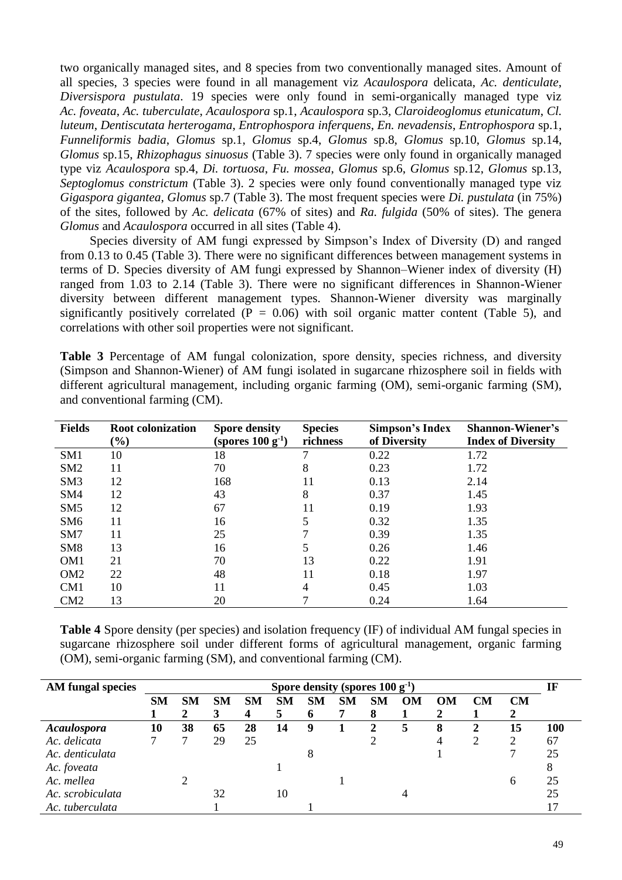two organically managed sites, and 8 species from two conventionally managed sites. Amount of all species, 3 species were found in all management viz *Acaulospora* delicata, *Ac. denticulate*, *Diversispora pustulata*. 19 species were only found in semi-organically managed type viz *Ac. foveata*, *Ac. tuberculate*, *Acaulospora* sp.1, *Acaulospora* sp.3, *Claroideoglomus etunicatum*, *Cl. luteum*, *Dentiscutata herterogama*, *Entrophospora inferquens*, *En. nevadensis*, *Entrophospora* sp.1, *Funneliformis badia*, *Glomus* sp.1, *Glomus* sp.4, *Glomus* sp.8, *Glomus* sp.10, *Glomus* sp.14, *Glomus* sp.15, *Rhizophagus sinuosus* (Table 3). 7 species were only found in organically managed type viz *Acaulospora* sp.4, *Di. tortuosa*, *Fu. mossea*, *Glomus* sp.6, *Glomus* sp.12, *Glomus* sp.13, *Septoglomus constrictum* (Table 3). 2 species were only found conventionally managed type viz *Gigaspora gigantea*, *Glomus* sp.7 (Table 3). The most frequent species were *Di. pustulata* (in 75%) of the sites, followed by *Ac. delicata* (67% of sites) and *Ra. fulgida* (50% of sites). The genera *Glomus* and *Acaulospora* occurred in all sites (Table 4).

Species diversity of AM fungi expressed by Simpson's Index of Diversity (D) and ranged from 0.13 to 0.45 (Table 3). There were no significant differences between management systems in terms of D. Species diversity of AM fungi expressed by Shannon–Wiener index of diversity (H) ranged from 1.03 to 2.14 (Table 3). There were no significant differences in Shannon-Wiener diversity between different management types. Shannon-Wiener diversity was marginally significantly positively correlated ( $P = 0.06$ ) with soil organic matter content (Table 5), and correlations with other soil properties were not significant.

Table 3 Percentage of AM fungal colonization, spore density, species richness, and diversity (Simpson and Shannon-Wiener) of AM fungi isolated in sugarcane rhizosphere soil in fields with different agricultural management, including organic farming (OM), semi-organic farming (SM), and conventional farming (CM).

| <b>Fields</b>   | <b>Root colonization</b><br>$(\%)$ | <b>Spore density</b><br>(spores $100 g^{-1}$ ) | <b>Species</b><br>richness | Simpson's Index<br>of Diversity | <b>Shannon-Wiener's</b><br><b>Index of Diversity</b> |
|-----------------|------------------------------------|------------------------------------------------|----------------------------|---------------------------------|------------------------------------------------------|
| SM <sub>1</sub> | 10                                 | 18                                             |                            | 0.22                            | 1.72                                                 |
| SM <sub>2</sub> | 11                                 | 70                                             | 8                          | 0.23                            | 1.72                                                 |
| SM <sub>3</sub> | 12                                 | 168                                            |                            | 0.13                            | 2.14                                                 |
| SM4             | 12                                 | 43                                             | 8                          | 0.37                            | 1.45                                                 |
| SM <sub>5</sub> | 12                                 | 67                                             | 11                         | 0.19                            | 1.93                                                 |
| SM <sub>6</sub> | 11                                 | 16                                             |                            | 0.32                            | 1.35                                                 |
| SM7             | 11                                 | 25                                             |                            | 0.39                            | 1.35                                                 |
| SM <sub>8</sub> | 13                                 | 16                                             |                            | 0.26                            | 1.46                                                 |
| OM <sub>1</sub> | 21                                 | 70                                             | 13                         | 0.22                            | 1.91                                                 |
| OM <sub>2</sub> | 22                                 | 48                                             | 11                         | 0.18                            | 1.97                                                 |
| CM <sub>1</sub> | 10                                 | 11                                             | 4                          | 0.45                            | 1.03                                                 |
| CM2             | 13                                 | 20                                             |                            | 0.24                            | 1.64                                                 |

**Table 4** Spore density (per species) and isolation frequency (IF) of individual AM fungal species in sugarcane rhizosphere soil under different forms of agricultural management, organic farming (OM), semi-organic farming (SM), and conventional farming (CM).

| AM fungal species  | Spore density (spores $100 g^{-1}$ ) |           |           |           |           |           |           |    |           |    |           |           |     |
|--------------------|--------------------------------------|-----------|-----------|-----------|-----------|-----------|-----------|----|-----------|----|-----------|-----------|-----|
|                    | <b>SM</b>                            | <b>SM</b> | <b>SM</b> | <b>SM</b> | <b>SM</b> | <b>SM</b> | <b>SM</b> | SM | <b>OM</b> | OM | <b>CM</b> | <b>CM</b> |     |
|                    |                                      | 2         | 3         | 4         | 5         | O         |           | 8  |           |    |           |           |     |
| <b>Acaulospora</b> | 10                                   | 38        | 65        | 28        | 14        | 9         |           | 2. | 5         | 8  | 2         | 15        | 100 |
| Ac. delicata       |                                      |           | 29        | 25        |           |           |           |    |           |    |           |           | 67  |
| Ac. denticulata    |                                      |           |           |           |           |           |           |    |           |    |           |           | 25  |
| Ac. foveata        |                                      |           |           |           |           |           |           |    |           |    |           |           |     |
| Ac. mellea         |                                      |           |           |           |           |           |           |    |           |    |           | 6         | 25  |
| Ac. scrobiculata   |                                      |           | 32        |           | 10        |           |           |    |           |    |           |           | 25  |
| Ac. tuberculata    |                                      |           |           |           |           |           |           |    |           |    |           |           |     |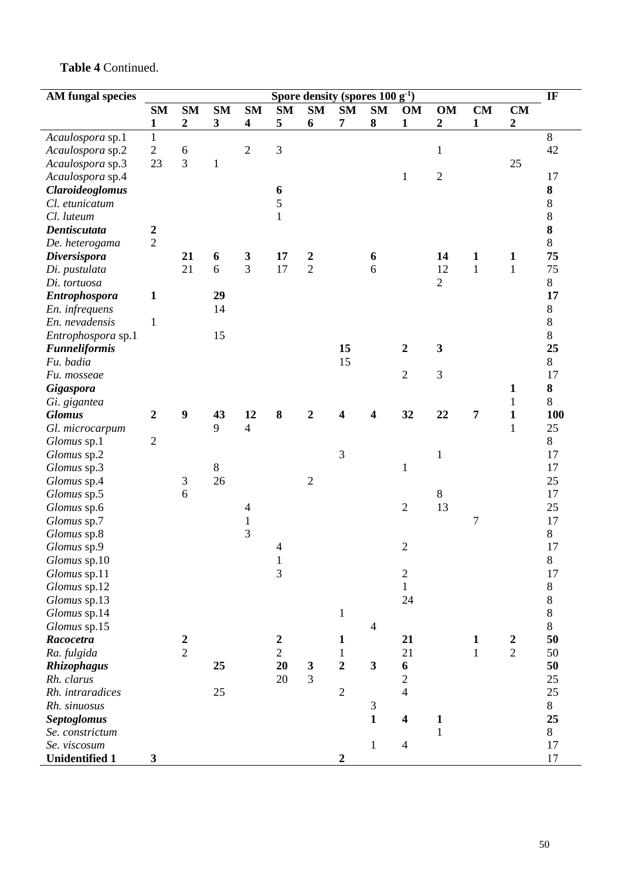| <b>AM</b> fungal species | Spore density (spores $100 g^{-1}$ ) |                     |                         |                          |                  |                  |                |                |                          |                         |                |                  |  |
|--------------------------|--------------------------------------|---------------------|-------------------------|--------------------------|------------------|------------------|----------------|----------------|--------------------------|-------------------------|----------------|------------------|--|
|                          | <b>SM</b>                            | <b>SM</b>           | <b>SM</b>               | <b>SM</b>                | <b>SM</b>        | <b>SM</b>        | SM             | <b>SM</b>      | <b>OM</b>                | <b>OM</b>               | CM             | CM               |  |
|                          | $\mathbf{1}$                         | $\boldsymbol{2}$    | $\overline{\mathbf{3}}$ | $\overline{\mathbf{4}}$  | 5                | 6                | 7              | $\bf{8}$       | $\mathbf{1}$             | $\boldsymbol{2}$        | $\mathbf{1}$   | $\boldsymbol{2}$ |  |
| Acaulospora sp.1         | $\mathbf{1}$                         |                     |                         |                          |                  |                  |                |                |                          |                         |                |                  |  |
| Acaulospora sp.2         | $\sqrt{2}$                           | 6                   |                         | $\overline{2}$           | $\overline{3}$   |                  |                |                |                          | $\mathbf{1}$            |                |                  |  |
| Acaulospora sp.3         | 23                                   | 3                   | $\mathbf{1}$            |                          |                  |                  |                |                |                          |                         |                | 25               |  |
| Acaulospora sp.4         |                                      |                     |                         |                          |                  |                  |                |                | $\mathbf{1}$             | $\overline{2}$          |                |                  |  |
| <b>Claroideoglomus</b>   |                                      |                     |                         |                          | 6                |                  |                |                |                          |                         |                |                  |  |
| Cl. etunicatum           |                                      |                     |                         |                          | 5                |                  |                |                |                          |                         |                |                  |  |
| Cl. luteum               |                                      |                     |                         |                          | $\mathbf{1}$     |                  |                |                |                          |                         |                |                  |  |
| <b>Dentiscutata</b>      | $\boldsymbol{2}$                     |                     |                         |                          |                  |                  |                |                |                          |                         |                |                  |  |
| De. heterogama           | $\overline{2}$                       |                     |                         |                          |                  |                  |                |                |                          |                         |                |                  |  |
| <b>Diversispora</b>      |                                      | 21                  | 6                       | 3                        | 17               | $\boldsymbol{2}$ |                | 6              |                          | 14                      | $\mathbf{1}$   | 1                |  |
| Di. pustulata            |                                      | 21                  | 6                       | 3                        | 17               | $\overline{2}$   |                | 6              |                          | 12                      | $\mathbf{1}$   | $\mathbf{1}$     |  |
| Di. tortuosa             |                                      |                     |                         |                          |                  |                  |                |                |                          | $\overline{2}$          |                |                  |  |
| <b>Entrophospora</b>     | $\mathbf{1}$                         |                     | 29                      |                          |                  |                  |                |                |                          |                         |                |                  |  |
| En. infrequens           |                                      |                     | 14                      |                          |                  |                  |                |                |                          |                         |                |                  |  |
| En. nevadensis           | 1                                    |                     |                         |                          |                  |                  |                |                |                          |                         |                |                  |  |
| Entrophospora sp.1       |                                      |                     | 15                      |                          |                  |                  |                |                |                          |                         |                |                  |  |
| <b>Funneliformis</b>     |                                      |                     |                         |                          |                  |                  | 15             |                | $\overline{2}$           | $\overline{\mathbf{3}}$ |                |                  |  |
| Fu. badia                |                                      |                     |                         |                          |                  |                  | 15             |                |                          |                         |                |                  |  |
| Fu. mosseae              |                                      |                     |                         |                          |                  |                  |                |                | $\overline{2}$           | 3                       |                |                  |  |
| <b>Gigaspora</b>         |                                      |                     |                         |                          |                  |                  |                |                |                          |                         |                | 1                |  |
| Gi. gigantea             |                                      |                     |                         |                          |                  |                  |                |                |                          |                         |                | 1                |  |
| <b>Glomus</b>            | $\boldsymbol{2}$                     | $\boldsymbol{9}$    | 43                      | 12                       | 8                | $\overline{2}$   | 4              | 4              | 32                       | 22                      | 7              | $\mathbf{1}$     |  |
| Gl. microcarpum          |                                      |                     | 9                       | $\overline{4}$           |                  |                  |                |                |                          |                         |                | $\mathbf{1}$     |  |
| Glomus sp.1              | $\sqrt{2}$                           |                     |                         |                          |                  |                  |                |                |                          |                         |                |                  |  |
| Glomus sp.2              |                                      |                     |                         |                          |                  |                  | 3              |                |                          | $\mathbf{1}$            |                |                  |  |
|                          |                                      |                     | 8                       |                          |                  |                  |                |                | $\mathbf{1}$             |                         |                |                  |  |
| Glomus sp.3              |                                      |                     | 26                      |                          |                  | $\sqrt{2}$       |                |                |                          |                         |                |                  |  |
| Glomus sp.4              |                                      | $\mathfrak{Z}$<br>6 |                         |                          |                  |                  |                |                |                          | $8\,$                   |                |                  |  |
| Glomus sp.5              |                                      |                     |                         |                          |                  |                  |                |                | $\overline{2}$           | 13                      |                |                  |  |
| Glomus sp.6              |                                      |                     |                         | $\overline{\mathcal{A}}$ |                  |                  |                |                |                          |                         |                |                  |  |
| Glomus sp.7              |                                      |                     |                         | $\mathbf{1}$<br>3        |                  |                  |                |                |                          |                         | $\overline{7}$ |                  |  |
| Glomus sp.8              |                                      |                     |                         |                          |                  |                  |                |                |                          |                         |                |                  |  |
| Glomus sp.9              |                                      |                     |                         |                          | $\overline{4}$   |                  |                |                | $\overline{2}$           |                         |                |                  |  |
| Glomus sp.10             |                                      |                     |                         |                          | $\mathbf{1}$     |                  |                |                |                          |                         |                |                  |  |
| Glomus sp.11             |                                      |                     |                         |                          | 3                |                  |                |                | $\sqrt{2}$               |                         |                |                  |  |
| Glomus sp.12             |                                      |                     |                         |                          |                  |                  |                |                | $\mathbf{1}$             |                         |                |                  |  |
| Glomus sp.13             |                                      |                     |                         |                          |                  |                  |                |                | 24                       |                         |                |                  |  |
| Glomus sp.14             |                                      |                     |                         |                          |                  |                  | $\mathbf{1}$   |                |                          |                         |                |                  |  |
| Glomus sp.15             |                                      |                     |                         |                          |                  |                  |                | $\overline{4}$ |                          |                         |                |                  |  |
| Racocetra                |                                      | $\boldsymbol{2}$    |                         |                          | $\boldsymbol{2}$ |                  | 1              |                | 21                       |                         | $\mathbf{1}$   | $\boldsymbol{2}$ |  |
| Ra. fulgida              |                                      | $\overline{2}$      |                         |                          | $\overline{2}$   |                  | $\mathbf{1}$   |                | 21                       |                         | $\mathbf 1$    | $\overline{2}$   |  |
| Rhizophagus              |                                      |                     | 25                      |                          | 20               | $\mathbf{3}$     | $\overline{2}$ | $\mathbf{3}$   | $\boldsymbol{6}$         |                         |                |                  |  |
| Rh. clarus               |                                      |                     |                         |                          | 20               | 3                |                |                | $\sqrt{2}$               |                         |                |                  |  |
| Rh. intraradices         |                                      |                     | 25                      |                          |                  |                  | $\mathbf{2}$   |                | $\overline{\mathcal{L}}$ |                         |                |                  |  |
| Rh. sinuosus             |                                      |                     |                         |                          |                  |                  |                | $\mathfrak{Z}$ |                          |                         |                |                  |  |
| <b>Septoglomus</b>       |                                      |                     |                         |                          |                  |                  |                | $\mathbf{1}$   | $\overline{\mathbf{4}}$  | $\mathbf{1}$            |                |                  |  |
| Se. constrictum          |                                      |                     |                         |                          |                  |                  |                |                |                          | $\mathbf{1}$            |                |                  |  |
| Se. viscosum             |                                      |                     |                         |                          |                  |                  |                | $\mathbf{1}$   | $\overline{4}$           |                         |                |                  |  |
| <b>Unidentified 1</b>    | $\mathbf{3}$                         |                     |                         |                          |                  |                  | 2              |                |                          |                         |                |                  |  |

# **Table 4** Continued.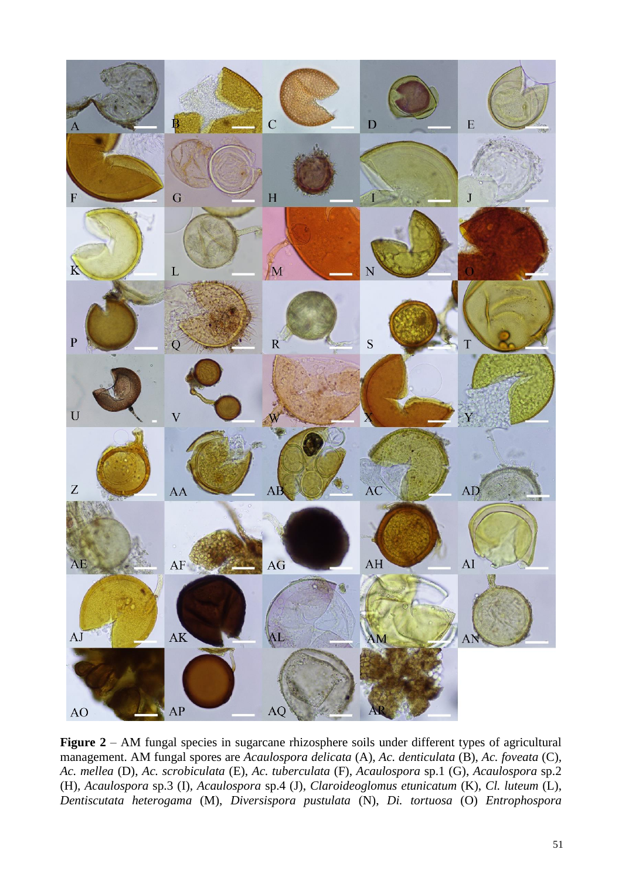

Figure 2 – AM fungal species in sugarcane rhizosphere soils under different types of agricultural management. AM fungal spores are *Acaulospora delicata* (A), *Ac. denticulata* (B), *Ac. foveata* (C)*, Ac. mellea* (D), *Ac. scrobiculata* (E), *Ac. tuberculata* (F), *Acaulospora* sp.1 (G), *Acaulospora* sp.2 (H)*, Acaulospora* sp.3 (I)*, Acaulospora* sp.4 (J), *Claroideoglomus etunicatum* (K), *Cl. luteum* (L), *Dentiscutata heterogama* (M), *Diversispora pustulata* (N), *Di. tortuosa* (O) *Entrophospora*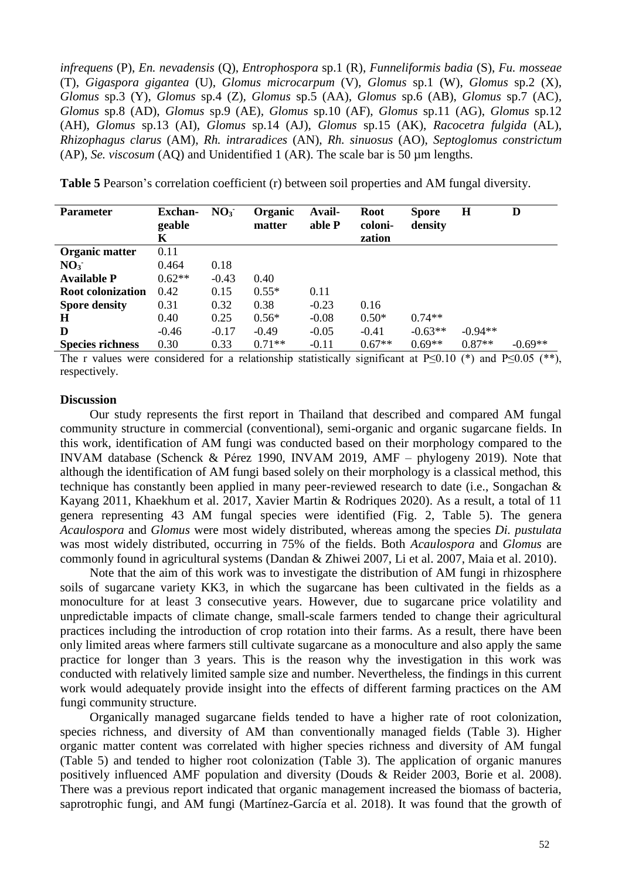*infrequens* (P), *En. nevadensis* (Q), *Entrophospora* sp.1 (R), *Funneliformis badia* (S), *Fu. mosseae*  (T), *Gigaspora gigantea* (U), *Glomus microcarpum* (V), *Glomus* sp.1 (W), *Glomus* sp.2 (X), *Glomus* sp.3 (Y), *Glomus* sp.4 (Z)*, Glomus* sp.5 (AA), *Glomus* sp.6 (AB), *Glomus* sp.7 (AC)*, Glomus* sp.8 (AD), *Glomus* sp.9 (AE)*, Glomus* sp.10 (AF), *Glomus* sp.11 (AG), *Glomus* sp.12 (AH), *Glomus* sp.13 (AI), *Glomus* sp.14 (AJ), *Glomus* sp.15 (AK), *Racocetra fulgida* (AL), *Rhizophagus clarus* (AM), *Rh. intraradices* (AN), *Rh. sinuosus* (AO), *Septoglomus constrictum*  (AP), *Se. viscosum* (AQ) and Unidentified 1 (AR). The scale bar is 50 µm lengths.

**Table 5** Pearson's correlation coefficient (r) between soil properties and AM fungal diversity.

| <b>Parameter</b>         | <b>Exchan-</b> | NO <sub>3</sub> | Organic  | Avail-  | Root              | <b>Spore</b> | $\bf H$   | D         |
|--------------------------|----------------|-----------------|----------|---------|-------------------|--------------|-----------|-----------|
|                          | geable<br>K    |                 | matter   | able P  | coloni-<br>zation | density      |           |           |
| Organic matter           | 0.11           |                 |          |         |                   |              |           |           |
| NO <sub>3</sub>          | 0.464          | 0.18            |          |         |                   |              |           |           |
| <b>Available P</b>       | $0.62**$       | $-0.43$         | 0.40     |         |                   |              |           |           |
| <b>Root colonization</b> | 0.42           | 0.15            | $0.55*$  | 0.11    |                   |              |           |           |
| <b>Spore density</b>     | 0.31           | 0.32            | 0.38     | $-0.23$ | 0.16              |              |           |           |
| H                        | 0.40           | 0.25            | $0.56*$  | $-0.08$ | $0.50*$           | $0.74**$     |           |           |
| D                        | $-0.46$        | $-0.17$         | $-0.49$  | $-0.05$ | $-0.41$           | $-0.63**$    | $-0.94**$ |           |
| <b>Species richness</b>  | 0.30           | 0.33            | $0.71**$ | $-0.11$ | $0.67**$          | $0.69**$     | $0.87**$  | $-0.69**$ |

The r values were considered for a relationship statistically significant at P≤0.10 (\*) and P≤0.05 (\*\*), respectively.

## **Discussion**

Our study represents the first report in Thailand that described and compared AM fungal community structure in commercial (conventional), semi-organic and organic sugarcane fields. In this work, identification of AM fungi was conducted based on their morphology compared to the INVAM database (Schenck & Pérez 1990, INVAM 2019, AMF – phylogeny 2019). Note that although the identification of AM fungi based solely on their morphology is a classical method, this technique has constantly been applied in many peer-reviewed research to date (i.e., Songachan & Kayang 2011, Khaekhum et al. 2017, Xavier Martin & Rodriques 2020). As a result, a total of 11 genera representing 43 AM fungal species were identified (Fig. 2, Table 5). The genera *Acaulospora* and *Glomus* were most widely distributed, whereas among the species *Di. pustulata* was most widely distributed, occurring in 75% of the fields. Both *Acaulospora* and *Glomus* are commonly found in agricultural systems (Dandan & Zhiwei 2007, Li et al. 2007, Maia et al. 2010).

Note that the aim of this work was to investigate the distribution of AM fungi in rhizosphere soils of sugarcane variety KK3, in which the sugarcane has been cultivated in the fields as a monoculture for at least 3 consecutive years. However, due to sugarcane price volatility and unpredictable impacts of climate change, small-scale farmers tended to change their agricultural practices including the introduction of crop rotation into their farms. As a result, there have been only limited areas where farmers still cultivate sugarcane as a monoculture and also apply the same practice for longer than 3 years. This is the reason why the investigation in this work was conducted with relatively limited sample size and number. Nevertheless, the findings in this current work would adequately provide insight into the effects of different farming practices on the AM fungi community structure.

Organically managed sugarcane fields tended to have a higher rate of root colonization, species richness, and diversity of AM than conventionally managed fields (Table 3). Higher organic matter content was correlated with higher species richness and diversity of AM fungal (Table 5) and tended to higher root colonization (Table 3). The application of organic manures positively influenced AMF population and diversity (Douds & Reider 2003, Borie et al. 2008). There was a previous report indicated that organic management increased the biomass of bacteria, saprotrophic fungi, and AM fungi (Martínez-García et al. 2018). It was found that the growth of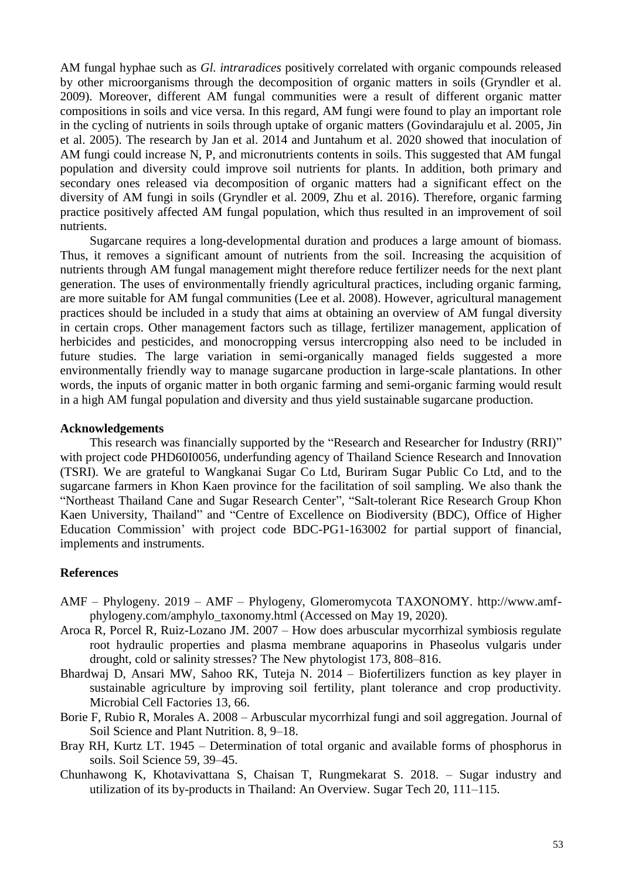AM fungal hyphae such as *Gl. intraradices* positively correlated with organic compounds released by other microorganisms through the decomposition of organic matters in soils (Gryndler et al. 2009). Moreover, different AM fungal communities were a result of different organic matter compositions in soils and vice versa. In this regard, AM fungi were found to play an important role in the cycling of nutrients in soils through uptake of organic matters (Govindarajulu et al. 2005, Jin et al. 2005). The research by Jan et al. 2014 and Juntahum et al. 2020 showed that inoculation of AM fungi could increase N, P, and micronutrients contents in soils. This suggested that AM fungal population and diversity could improve soil nutrients for plants. In addition, both primary and secondary ones released via decomposition of organic matters had a significant effect on the diversity of AM fungi in soils (Gryndler et al. 2009, Zhu et al. 2016). Therefore, organic farming practice positively affected AM fungal population, which thus resulted in an improvement of soil nutrients.

Sugarcane requires a long-developmental duration and produces a large amount of biomass. Thus, it removes a significant amount of nutrients from the soil. Increasing the acquisition of nutrients through AM fungal management might therefore reduce fertilizer needs for the next plant generation. The uses of environmentally friendly agricultural practices, including organic farming, are more suitable for AM fungal communities (Lee et al. 2008). However, agricultural management practices should be included in a study that aims at obtaining an overview of AM fungal diversity in certain crops. Other management factors such as tillage, fertilizer management, application of herbicides and pesticides, and monocropping versus intercropping also need to be included in future studies. The large variation in semi-organically managed fields suggested a more environmentally friendly way to manage sugarcane production in large-scale plantations. In other words, the inputs of organic matter in both organic farming and semi-organic farming would result in a high AM fungal population and diversity and thus yield sustainable sugarcane production.

### **Acknowledgements**

This research was financially supported by the "Research and Researcher for Industry (RRI)" with project code PHD60I0056, underfunding agency of Thailand Science Research and Innovation (TSRI). We are grateful to Wangkanai Sugar Co Ltd, Buriram Sugar Public Co Ltd, and to the sugarcane farmers in Khon Kaen province for the facilitation of soil sampling. We also thank the "Northeast Thailand Cane and Sugar Research Center", "Salt-tolerant Rice Research Group Khon Kaen University, Thailand" and "Centre of Excellence on Biodiversity (BDC), Office of Higher Education Commission' with project code BDC-PG1-163002 for partial support of financial, implements and instruments.

#### **References**

- AMF Phylogeny. 2019 AMF Phylogeny, Glomeromycota TAXONOMY. http://www.amfphylogeny.com/amphylo\_taxonomy.html (Accessed on May 19, 2020).
- Aroca R, Porcel R, Ruiz-Lozano JM. 2007 How does arbuscular mycorrhizal symbiosis regulate root hydraulic properties and plasma membrane aquaporins in Phaseolus vulgaris under drought, cold or salinity stresses? The New phytologist 173, 808–816.
- Bhardwaj D, Ansari MW, Sahoo RK, Tuteja N. 2014 Biofertilizers function as key player in sustainable agriculture by improving soil fertility, plant tolerance and crop productivity. Microbial Cell Factories 13, 66.
- Borie F, Rubio R, Morales A. 2008 Arbuscular mycorrhizal fungi and soil aggregation. Journal of Soil Science and Plant Nutrition. 8, 9–18.
- Bray RH, Kurtz LT. 1945 Determination of total organic and available forms of phosphorus in soils. Soil Science 59, 39–45.
- Chunhawong K, Khotavivattana S, Chaisan T, Rungmekarat S. 2018. Sugar industry and utilization of its by-products in Thailand: An Overview. Sugar Tech 20, 111–115.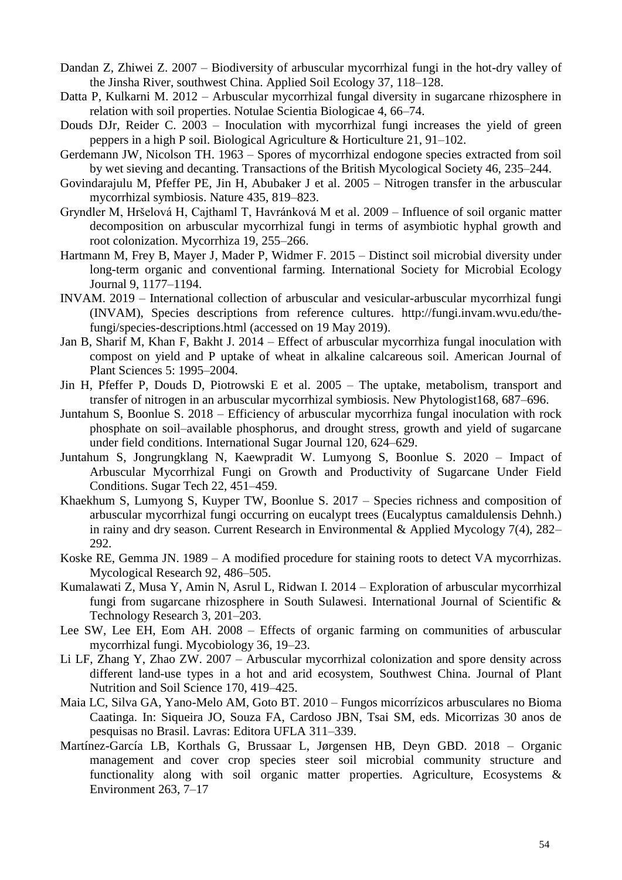- Dandan Z, Zhiwei Z. 2007 Biodiversity of arbuscular mycorrhizal fungi in the hot-dry valley of the Jinsha River, southwest China. Applied Soil Ecology 37, 118–128.
- Datta P, Kulkarni M. 2012 Arbuscular mycorrhizal fungal diversity in sugarcane rhizosphere in relation with soil properties. Notulae Scientia Biologicae 4, 66–74.
- Douds DJr, Reider C. 2003 Inoculation with mycorrhizal fungi increases the yield of green peppers in a high P soil. Biological Agriculture & Horticulture 21, 91–102.
- Gerdemann JW, Nicolson TH. 1963 Spores of mycorrhizal endogone species extracted from soil by wet sieving and decanting. Transactions of the British Mycological Society 46, 235–244.
- Govindarajulu M, Pfeffer PE, Jin H, Abubaker J et al. 2005 Nitrogen transfer in the arbuscular mycorrhizal symbiosis. Nature 435, 819–823.
- Gryndler M, Hršelová H, Cajthaml T, Havránková M et al. 2009 Influence of soil organic matter decomposition on arbuscular mycorrhizal fungi in terms of asymbiotic hyphal growth and root colonization. Mycorrhiza 19, 255–266.
- Hartmann M, Frey B, Mayer J, Mader P, Widmer F. 2015 Distinct soil microbial diversity under long-term organic and conventional farming. International Society for Microbial Ecology Journal 9, 1177–1194.
- INVAM. 2019 International collection of arbuscular and vesicular-arbuscular mycorrhizal fungi (INVAM), Species descriptions from reference cultures. http://fungi.invam.wvu.edu/thefungi/species-descriptions.html (accessed on 19 May 2019).
- Jan B, Sharif M, Khan F, Bakht J. 2014 Effect of arbuscular mycorrhiza fungal inoculation with compost on yield and P uptake of wheat in alkaline calcareous soil. American Journal of Plant Sciences 5: 1995–2004.
- Jin H, Pfeffer P, Douds D, Piotrowski E et al. 2005 The uptake, metabolism, transport and transfer of nitrogen in an arbuscular mycorrhizal symbiosis. New Phytologist168, 687–696.
- Juntahum S, Boonlue S. 2018 Efficiency of arbuscular mycorrhiza fungal inoculation with rock phosphate on soil–available phosphorus, and drought stress, growth and yield of sugarcane under field conditions. International Sugar Journal 120, 624–629.
- Juntahum S, Jongrungklang N, Kaewpradit W. Lumyong S, Boonlue S. 2020 Impact of Arbuscular Mycorrhizal Fungi on Growth and Productivity of Sugarcane Under Field Conditions. Sugar Tech 22, 451–459.
- Khaekhum S, Lumyong S, Kuyper TW, Boonlue S. 2017 Species richness and composition of arbuscular mycorrhizal fungi occurring on eucalypt trees (Eucalyptus camaldulensis Dehnh.) in rainy and dry season. Current Research in Environmental & Applied Mycology 7(4), 282– 292.
- Koske RE, Gemma JN. 1989 A modified procedure for staining roots to detect VA mycorrhizas. Mycological Research 92, 486–505.
- Kumalawati Z, Musa Y, Amin N, Asrul L, Ridwan I. 2014 Exploration of arbuscular mycorrhizal fungi from sugarcane rhizosphere in South Sulawesi. International Journal of Scientific & Technology Research 3, 201–203.
- Lee SW, Lee EH, Eom AH. 2008 Effects of organic farming on communities of arbuscular mycorrhizal fungi. Mycobiology 36, 19–23.
- Li LF, Zhang Y, Zhao ZW. 2007 Arbuscular mycorrhizal colonization and spore density across different land-use types in a hot and arid ecosystem, Southwest China. Journal of Plant Nutrition and Soil Science 170, 419–425.
- Maia LC, Silva GA, Yano-Melo AM, Goto BT. 2010 Fungos micorrízicos arbusculares no Bioma Caatinga. In: Siqueira JO, Souza FA, Cardoso JBN, Tsai SM, eds. Micorrizas 30 anos de pesquisas no Brasil. Lavras: Editora UFLA 311–339.
- Martínez-García LB, Korthals G, Brussaar L, Jørgensen HB, Deyn GBD. 2018 Organic management and cover crop species steer soil microbial community structure and functionality along with soil organic matter properties. Agriculture, Ecosystems & Environment 263, 7–17